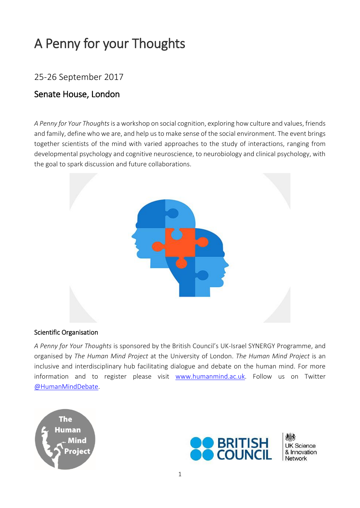# A Penny for your Thoughts

## 25-26 September 2017

## Senate House, London

*A Penny for Your Thoughts*is a workshop on social cognition, exploring how culture and values, friends and family, define who we are, and help us to make sense of the social environment. The event brings together scientists of the mind with varied approaches to the study of interactions, ranging from developmental psychology and cognitive neuroscience, to neurobiology and clinical psychology, with the goal to spark discussion and future collaborations.



#### Scientific Organisation

*A Penny for Your Thoughts* is sponsored by the British Council's UK-Israel SYNERGY Programme, and organised by *The Human Mind Project* at the University of London. *The Human Mind Project* is an inclusive and interdisciplinary hub facilitating dialogue and debate on the human mind. For more information and to register please visit [www.humanmind.ac.uk.](http://www.humanmind.ac.uk/) Follow us on Twitter [@HumanMindDebate.](https://twitter.com/HumanMindDebate)





**UK Science** 

& Innovation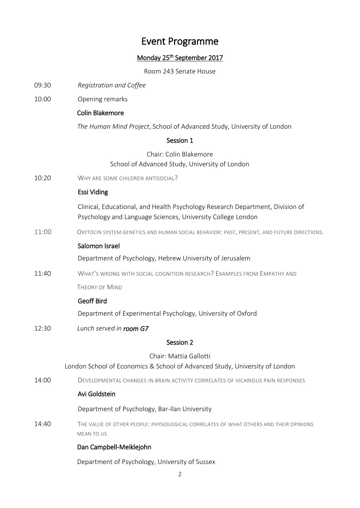## Event Programme

### Monday 25<sup>th</sup> September 2017

Room 243 Senate House

| 09:30 | Registration and Coffee                                                                                                                      |
|-------|----------------------------------------------------------------------------------------------------------------------------------------------|
| 10:00 | Opening remarks                                                                                                                              |
|       | <b>Colin Blakemore</b>                                                                                                                       |
|       | The Human Mind Project, School of Advanced Study, University of London                                                                       |
|       | Session 1                                                                                                                                    |
|       | Chair: Colin Blakemore<br>School of Advanced Study, University of London                                                                     |
| 10:20 | WHY ARE SOME CHILDREN ANTISOCIAL?                                                                                                            |
|       | <b>Essi Viding</b>                                                                                                                           |
|       | Clinical, Educational, and Health Psychology Research Department, Division of<br>Psychology and Language Sciences, University College London |
| 11:00 | OXYTOCIN SYSTEM GENETICS AND HUMAN SOCIAL BEHAVIOR: PAST, PRESENT, AND FUTURE DIRECTIONS.                                                    |
|       | Salomon Israel                                                                                                                               |
|       | Department of Psychology, Hebrew University of Jerusalem                                                                                     |
| 11:40 | WHAT'S WRONG WITH SOCIAL COGNITION RESEARCH? EXAMPLES FROM EMPATHY AND                                                                       |
|       | THEORY OF MIND                                                                                                                               |
|       | <b>Geoff Bird</b>                                                                                                                            |
|       | Department of Experimental Psychology, University of Oxford                                                                                  |
| 12:30 | Lunch served in room G7                                                                                                                      |
|       | Session 2                                                                                                                                    |
|       | Chair: Mattia Gallotti                                                                                                                       |
|       | London School of Economics & School of Advanced Study, University of London                                                                  |
| 14:00 | DEVELOPMENTAL CHANGES IN BRAIN ACTIVITY CORRELATES OF VICARIOUS PAIN RESPONSES                                                               |
|       | Avi Goldstein                                                                                                                                |
|       | Department of Psychology, Bar-Ilan University                                                                                                |
| 14:40 | THE VALUE OF OTHER PEOPLE: PHYSIOLOGICAL CORRELATES OF WHAT OTHERS AND THEIR OPINIONS<br>MEAN TO US                                          |
|       | Dan Campbell-Meiklejohn                                                                                                                      |
|       | Department of Psychology, University of Sussex                                                                                               |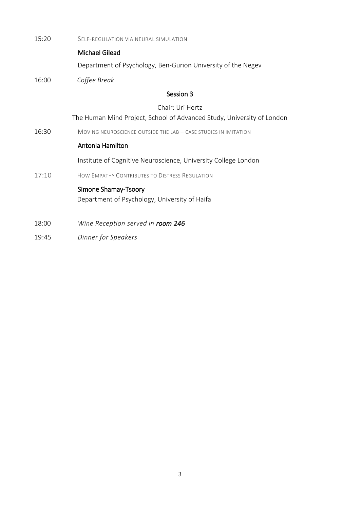| 15:20 | SELF-REGULATION VIA NEURAL SIMULATION                                  |
|-------|------------------------------------------------------------------------|
|       | <b>Michael Gilead</b>                                                  |
|       | Department of Psychology, Ben-Gurion University of the Negev           |
| 16:00 | Coffee Break                                                           |
|       | Session 3                                                              |
|       | Chair: Uri Hertz                                                       |
|       | The Human Mind Project, School of Advanced Study, University of London |
| 16:30 | MOVING NEUROSCIENCE OUTSIDE THE LAB - CASE STUDIES IN IMITATION        |
|       | Antonia Hamilton                                                       |
|       | Institute of Cognitive Neuroscience, University College London         |
| 17:10 | HOW EMPATHY CONTRIBUTES TO DISTRESS REGULATION                         |
|       | Simone Shamay-Tsoory                                                   |
|       | Department of Psychology, University of Haifa                          |
|       |                                                                        |
| 18:00 | Wine Reception served in room 246                                      |
| 19:45 | Dinner for Speakers                                                    |